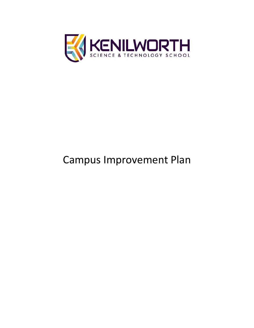

# Campus Improvement Plan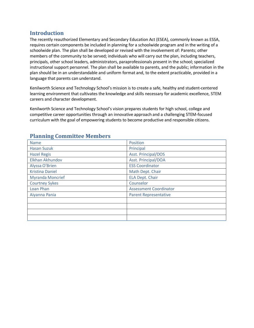## **Introduction**

The recently reauthorized Elementary and Secondary Education Act (ESEA), commonly known as ESSA, requires certain components be included in planning for a schoolwide program and in the writing of a schoolwide plan. The plan shall be developed or revised with the involvement of: Parents; other members of the community to be served; individuals who will carry out the plan, including teachers, principals, other school leaders, administrators, paraprofessionals present in the school; specialized instructional support personnel. The plan shall be available to parents, and the public; information in the plan should be in an understandable and uniform format and, to the extent practicable, provided in a language that parents can understand.

Kenilworth Science and Technology School's mission is to create a safe, healthy and student-centered learning environment that cultivates the knowledge and skills necessary for academic excellence, STEM careers and character development.

Kenilworth Science and Technology School's vision prepares students for high school, college and competitive career opportunities through an innovative approach and a challenging STEM-focused curriculum with the goal of empowering students to become productive and responsible citizens.

| <b>Name</b>             | Position                      |
|-------------------------|-------------------------------|
| <b>Hasan Suzuk</b>      | Principal                     |
| <b>Hazel Regis</b>      | <b>Asst. Principal/DOS</b>    |
| Elkhan Akhundov         | Asst. Principal/DOA           |
| Alyssa O'Brien          | <b>ESS Coordinator</b>        |
| <b>Kristina Daniel</b>  | Math Dept. Chair              |
| <b>Myranda Moncrief</b> | <b>ELA Dept. Chair</b>        |
| <b>Courtney Sykes</b>   | Counselor                     |
| Loan Phan               | <b>Assessment Coordinator</b> |
| Aiyanna Pania           | <b>Parent Representative</b>  |
|                         |                               |
|                         |                               |
|                         |                               |
|                         |                               |

## **Planning Committee Members**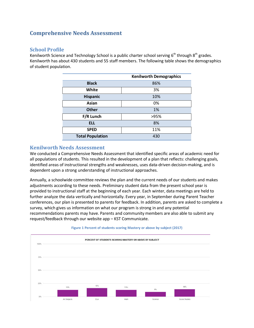## **Comprehensive Needs Assessment**

### **School Profile**

Kenilworth Science and Technology School is a public charter school serving  $6<sup>th</sup>$  through  $8<sup>th</sup>$  grades. Kenilworth has about 430 students and 55 staff members. The following table shows the demographics of student population.

|                         | <b>Kenilworth Demographics</b> |
|-------------------------|--------------------------------|
| <b>Black</b>            | 86%                            |
| White                   | 3%                             |
| Hispanic                | 10%                            |
| Asian                   | 0%                             |
| <b>Other</b>            | 1%                             |
| F/R Lunch               | >95%                           |
| <b>ELL</b>              | 8%                             |
| <b>SPED</b>             | 11%                            |
| <b>Total Population</b> | 430                            |

## **Kenilworth Needs Assessment**

We conducted a Comprehensive Needs Assessment that identified specific areas of academic need for all populations of students. This resulted in the development of a plan that reflects: challenging goals, identified areas of instructional strengths and weaknesses, uses data-driven decision-making, and is dependent upon a strong understanding of instructional approaches.

Annually, a schoolwide committee reviews the plan and the current needs of our students and makes adjustments according to these needs. Preliminary student data from the present school year is provided to instructional staff at the beginning of each year. Each winter, data meetings are held to further analyze the data vertically and horizontally. Every year, in September during Parent Teacher conferences, our plan is presented to parents for feedback. In addition, parents are asked to complete a survey, which gives us information on what our program is strong in and any potential recommendations parents may have. Parents and community members are also able to submit any request/feedback through our website app – KST Communicate.



#### **Figure 1 Percent of students scoring Mastery or above by subject (2017)**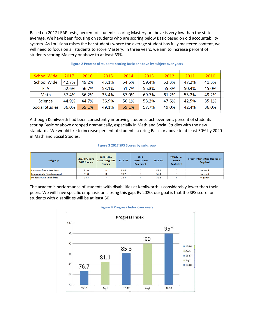Based on 2017 LEAP tests, percent of students scoring Mastery or above is very low than the state average. We have been focusing on students who are scoring below Basic based on old accountability system. As Louisiana raises the bar students where the average student has fully mastered content, we will need to focus on all students to score Mastery. In three years, we aim to increase percent of students scoring Mastery or above to at least 33%.

| <b>School Wide</b> | 2017  | 2016  | 2015  | 2014  | 2013  | 2012  | 2011  | 2010  |
|--------------------|-------|-------|-------|-------|-------|-------|-------|-------|
| <b>School Wide</b> | 42.7% | 49.2% | 43.1% | 54.5% | 59.4% | 53.3% | 47.2% | 41.3% |
| ELA                | 52.6% | 56.7% | 53.1% | 51.7% | 55.3% | 55.3% | 50.4% | 45.0% |
| Math               | 37.4% | 36.2% | 33.4% | 57.0% | 69.7% | 61.2% | 53.2% | 49.2% |
| <b>Science</b>     | 44.9% | 44.7% | 36.9% | 50.1% | 53.2% | 47.6% | 42.5% | 35.1% |
| Social Studies     | 36.0% | 59.1% | 49.1% | 59.1% | 57.7% | 49.0% | 42.4% | 36.0% |
|                    |       |       |       |       |       |       |       |       |

#### **Figure 2 Percent of students scoring Basic or above by subject over years**

Although Kenilworth had been consistently improving students' achievement, percent of students scoring Basic or above dropped dramatically, especially in Math and Social Studies with the new standards. We would like to increase percent of students scoring Basic or above to at least 50% by 2020 in Math and Social Studies.

#### **Figure 3 2017 SPS Scores by subgroup**

| Subgroup                          | 2017 SPS using<br>2018 formula | 2017 Letter<br>Grade using 2018<br>formula | 2017 SPS | 2017<br><b>Letter Grade</b><br><b>Equivalent</b> | 2016 SPS | 2016 Letter<br>Grade<br><b>Equivalent</b> | Urgent Intervention Needed or<br>Required |
|-----------------------------------|--------------------------------|--------------------------------------------|----------|--------------------------------------------------|----------|-------------------------------------------|-------------------------------------------|
| <b>Black or African American</b>  | 51.9                           |                                            | 58.6     |                                                  | 56.8     |                                           | Needed                                    |
| <b>Economically Disadvantaged</b> | 51.8                           |                                            | 59.2     |                                                  | 55.4     |                                           | <b>Needed</b>                             |
| <b>Students with Disabilities</b> | 34.3                           |                                            | 22.3     |                                                  | 32.6     |                                           | <b>Required</b>                           |

The academic performance of students with disabilities at Kenilworth is considerably lower than their peers. We will have specific emphasis on closing this gap. By 2020, our goal is that the SPS score for students with disabilities will be at least 50.



#### **Figure 4 Progress Index over years**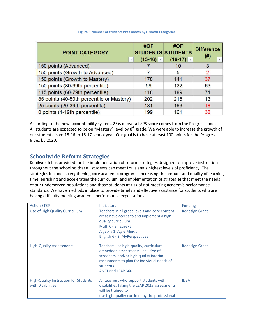| <b>POINT CATEGORY</b>                     | #OF         | #OF<br><b>STUDENTS STUDENTS</b> | <b>Difference</b><br>(# ) |
|-------------------------------------------|-------------|---------------------------------|---------------------------|
| $\mathbf{v}$                              | $(15-16)$ – | $(16-17)$ –                     | $\mathbf{v}$              |
| 150 points (Advanced)                     |             | 10                              | 3                         |
| 150 points (Growth to Advanced)           |             | 5                               | $\overline{2}$            |
| 150 points (Growth to Mastery)            | 178         | 141                             | 37                        |
| 150 points (80-99th percentile)           | 59          | 122                             | 63                        |
| 115 points (60-79th percentile)           | 118         | 189                             | 71                        |
| 85 points (40-59th percentile or Mastery) | 202         | 215                             | 13                        |
| 25 points (20-39th percentile)            | 181         | 163                             | 18                        |
| 0 points (1-19th percentile)              | 199         | 161                             | 38                        |

#### **Figure 5 Number of students breakdown by Growth Categories**

According to the new accountability system, 25% of overall SPS score comes from the Progress Index. All students are expected to be on "Mastery" level by  $8<sup>th</sup>$  grade. We were able to increase the growth of our students from 15-16 to 16-17 school year. Our goal is to have at least 100 points for the Progress Index by 2020.

## **Schoolwide Reform Strategies**

Kenilworth has provided for the implementation of reform strategies designed to improve instruction throughout the school so that all students can meet Louisiana's highest levels of proficiency. The strategies include: strengthening core academic programs, increasing the amount and quality of learning time, enriching and accelerating the curriculum, and implementation of strategies that meet the needs of our underserved populations and those students at risk of not meeting academic performance standards. We have methods in place to provide timely and effective assistance for students who are having difficulty meeting academic performance expectations.

| <b>Action STEP</b>                                         | <b>Indicators</b>                                                                                                                                                                                       | <b>Funding</b>        |
|------------------------------------------------------------|---------------------------------------------------------------------------------------------------------------------------------------------------------------------------------------------------------|-----------------------|
| Use of High Quality Curriculum                             | Teachers in all grade levels and core content<br>areas have access to and implement a high-<br>quality curriculum.<br>Math 6 - 8 : Eureka<br>Algebra 1: Agile Minds<br>English 6 - 8: MyPerspectives    | <b>Redesign Grant</b> |
| <b>High-Quality Assessments</b>                            | Teachers use high-quality, curriculum-<br>embedded assessments, inclusive of<br>screeners, and/or high-quality interim<br>assessments to plan for individual needs of<br>students.<br>ANET and LEAP 360 | <b>Redesign Grant</b> |
| High-Quality Instruction for Students<br>with Disabilities | All teachers who support students with<br>disabilities taking the LEAP 2025 assessments<br>will be trained to<br>use high-quality curricula by the professional                                         | <b>IDEA</b>           |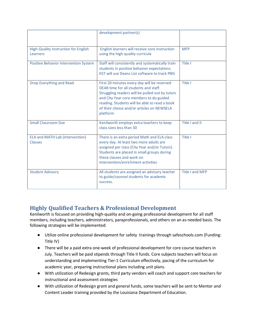|                                                          | development partner(s)                                                                                                                                                                                                                                                                        |                        |
|----------------------------------------------------------|-----------------------------------------------------------------------------------------------------------------------------------------------------------------------------------------------------------------------------------------------------------------------------------------------|------------------------|
| High-Quality Instruction for English<br>Learners         | English learners will receive core instruction<br>using the high-quality curricula                                                                                                                                                                                                            | <b>MFP</b>             |
| Positive Behavior Intervention System                    | Staff will consistently and systematically train<br>students in positive behavior expectations.<br><b>KST will use Deans List software to track PBIS</b>                                                                                                                                      | Title I                |
| Drop Everything and Read                                 | First 20 minutes every day will be reserved<br>DEAR time for all students and staff.<br>Struggling readers will be pulled out by tutors<br>and City Year core members to do guided<br>reading. Students will be able to read a book<br>of their choice and/or articles on NEWSELA<br>platform | Title I                |
| <b>Small Classroom Size</b>                              | Kenilworth employs extra teachers to keep<br>class sizes less than 30                                                                                                                                                                                                                         | Title I and II         |
| <b>ELA and MATH Lab (Intervention)</b><br><b>Classes</b> | There is an extra period Math and ELA class<br>every day. At least two more adults are<br>assigned per class (City Year and/or Tutors).<br>Students are placed in small groups during<br>these classes and work on<br>intervention/enrichment activities                                      | Title I                |
| <b>Student Advisory</b>                                  | All students are assigned an advisory teacher<br>to guide/counsel students for academic<br>success.                                                                                                                                                                                           | <b>Title I and MFP</b> |

# **Highly Qualified Teachers & Professional Development**

Kenilworth is focused on providing high-quality and on-going professional development for all staff members, including teachers, administrators, paraprofessionals, and others on an as-needed basis. The following strategies will be implemented:

- Utilize online professional development for safety trainings through safeschools.com (Funding: Title IV)
- There will be a paid extra one-week of professional development for core course teachers in July. Teachers will be paid stipends through Title II funds. Core subjects teachers will focus on understanding and implementing Tier-1 Curriculum effectively, pacing of the curriculum for academic year, preparing instructional plans including unit plans.
- With utilization of Redesign grants, third party vendors will coach and support core teachers for instructional and assessment strategies
- With utilization of Redesign grant and general funds, some teachers will be sent to Mentor and Content Leader training provided by the Louisiana Department of Education.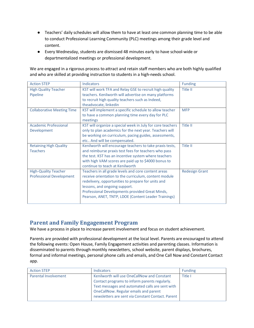- Teachers' daily schedules will allow them to have at least one common planning time to be able to conduct Professional Learning Community (PLC) meetings among their grade level and content.
- Every Wednesday, students are dismissed 48 minutes early to have school-wide or departmentalized meetings or professional development.

We are engaged in a rigorous process to attract and retain staff members who are both highly qualified and who are skilled at providing instruction to students in a high-needs school.

| <b>Action STEP</b>                | <b>Indicators</b>                                          | <b>Funding</b>        |
|-----------------------------------|------------------------------------------------------------|-----------------------|
| <b>High Quality Teacher</b>       | KST will work TFA and Relay GSE to recruit high quality    | Title II              |
| Pipeline                          | teachers. Kenilworth will advertise on many platforms      |                       |
|                                   | to recruit high quality teachers such as Indeed,           |                       |
|                                   | theadvocate, linkedin                                      |                       |
| <b>Collaborative Meeting Time</b> | KST will implement a specific schedule to allow teacher    | <b>MFP</b>            |
|                                   | to have a common planning time every day for PLC           |                       |
|                                   | meetings                                                   |                       |
| <b>Academic Professional</b>      | KST will organize a special week in July for core teachers | Title II              |
| Development                       | only to plan academics for the next year. Teachers will    |                       |
|                                   | be working on curriculum, pacing guides, assessments,      |                       |
|                                   | etc And will be compensated.                               |                       |
| <b>Retaining High Quality</b>     | Kenilworth will encourage teachers to take praxis tests,   | Title II              |
| <b>Teachers</b>                   | and reimburse praxis test fees for teachers who pass       |                       |
|                                   | the test. KST has an incentive system where teachers       |                       |
|                                   | with high VAM scores are paid up to \$4000 bonus to        |                       |
|                                   | continue to teach at Kenilworth                            |                       |
| <b>High-Quality Teacher</b>       | Teachers in all grade levels and core content areas        | <b>Redesign Grant</b> |
| <b>Professional Development</b>   | receive orientation to the curriculum, content module      |                       |
|                                   | redelivery, opportunities to prepare for units and         |                       |
|                                   | lessons, and ongoing support.                              |                       |
|                                   | Professional Developments provided Great Minds,            |                       |
|                                   | Pearson, ANET, TNTP, LDOE (Content Leader Trainings)       |                       |
|                                   |                                                            |                       |

## **Parent and Family Engagement Program**

We have a process in place to increase parent involvement and focus on student achievement.

Parents are provided with professional development at the local level. Parents are encouraged to attend the following events: Open House, Family Engagement activities and parenting classes. Information is disseminated to parents through monthly newsletters, school website, parent displays, brochures, formal and informal meetings, personal phone calls and emails, and One Call Now and Constant Contact app.

| <b>Action STEP</b>   | <b>Indicators</b>                                                                                                                                                                                                                             | <b>Funding</b> |
|----------------------|-----------------------------------------------------------------------------------------------------------------------------------------------------------------------------------------------------------------------------------------------|----------------|
| Parental Involvement | Kenilworth will use OneCallNow and Constant<br>Contact programs to inform parents regularly.<br>Text messages and automated calls are sent with<br>OneCallNow. Regular emails and parent<br>newsletters are sent via Constant Contact. Parent | Title I        |